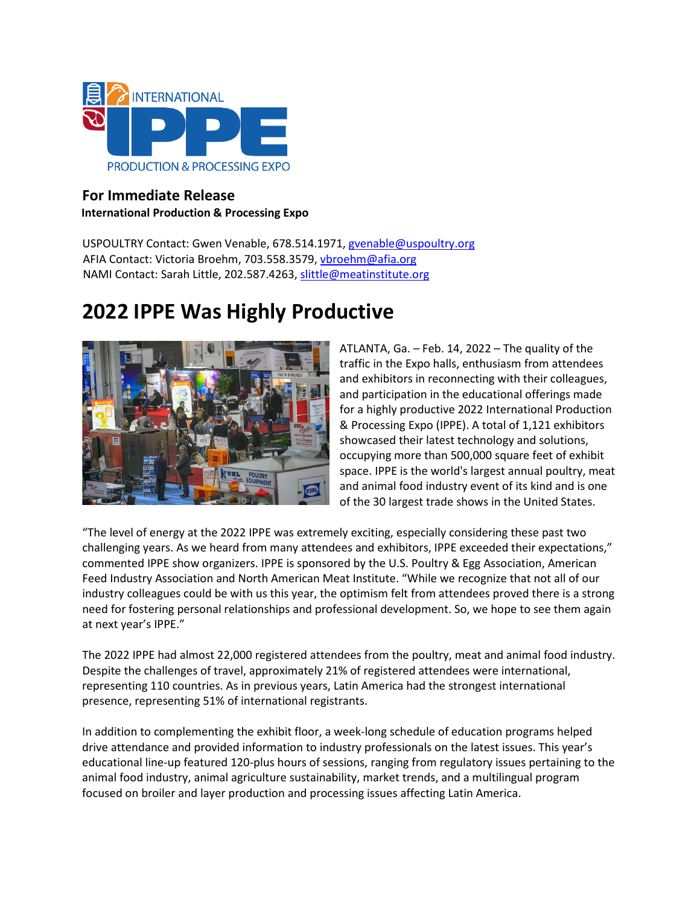

## **For Immediate Release International Production & Processing Expo**

USPOULTRY Contact: Gwen Venable, 678.514.1971, gvenable@uspoultry.org AFIA Contact: Victoria Broehm, 703.558.3579, [vbroehm@afia.org](mailto:vbroehm@afia.org) NAMI Contact: Sarah Little, 202.587.4263, [slittle@meatinstitute.org](mailto:slittle@meatinstitute.org)

# **2022 IPPE Was Highly Productive**



ATLANTA, Ga. – Feb. 14, 2022 – The quality of the traffic in the Expo halls, enthusiasm from attendees and exhibitors in reconnecting with their colleagues, and participation in the educational offerings made for a highly productive 2022 International Production & Processing Expo (IPPE). A total of 1,121 exhibitors showcased their latest technology and solutions, occupying more than 500,000 square feet of exhibit space. IPPE is the world's largest annual poultry, meat and animal food industry event of its kind and is one of the 30 largest trade shows in the United States.

"The level of energy at the 2022 IPPE was extremely exciting, especially considering these past two challenging years. As we heard from many attendees and exhibitors, IPPE exceeded their expectations," commented IPPE show organizers. IPPE is sponsored by the U.S. Poultry & Egg Association, American Feed Industry Association and North American Meat Institute. "While we recognize that not all of our industry colleagues could be with us this year, the optimism felt from attendees proved there is a strong need for fostering personal relationships and professional development. So, we hope to see them again at next year's IPPE."

The 2022 IPPE had almost 22,000 registered attendees from the poultry, meat and animal food industry. Despite the challenges of travel, approximately 21% of registered attendees were international, representing 110 countries. As in previous years, Latin America had the strongest international presence, representing 51% of international registrants.

In addition to complementing the exhibit floor, a week-long schedule of education programs helped drive attendance and provided information to industry professionals on the latest issues. This year's educational line-up featured 120-plus hours of sessions, ranging from regulatory issues pertaining to the animal food industry, animal agriculture sustainability, market trends, and a multilingual program focused on broiler and layer production and processing issues affecting Latin America.